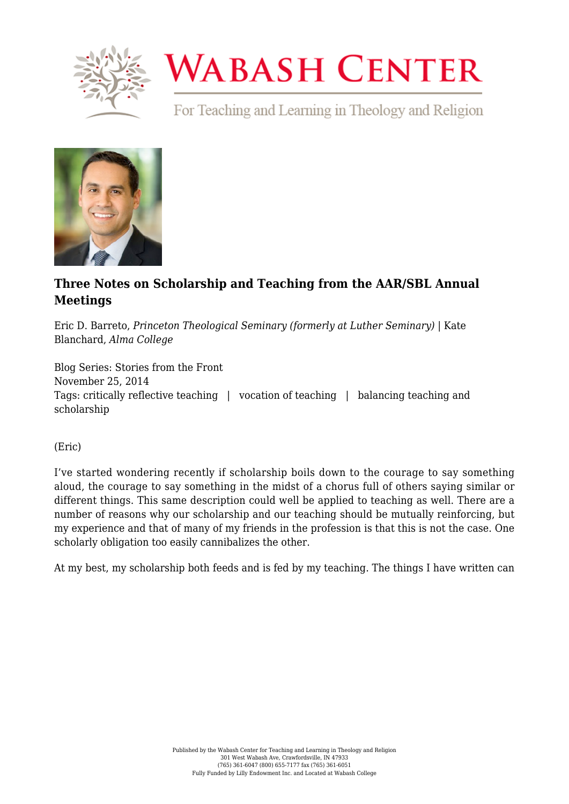

# **WABASH CENTER**

For Teaching and Learning in Theology and Religion



## **[Three Notes on Scholarship and Teaching from the AAR/SBL Annual](https://www.wabashcenter.wabash.edu/2014/11/three-notes-on-scholarship-and-teaching-from-the-aarsbl-annual-meetings/) [Meetings](https://www.wabashcenter.wabash.edu/2014/11/three-notes-on-scholarship-and-teaching-from-the-aarsbl-annual-meetings/)**

Eric D. Barreto, *Princeton Theological Seminary (formerly at Luther Seminary)* | Kate Blanchard, *Alma College*

Blog Series: Stories from the Front November 25, 2014 Tags: critically reflective teaching | vocation of teaching | balancing teaching and scholarship

(Eric)

I've started wondering recently if scholarship boils down to the courage to say something aloud, the courage to say something in the midst of a chorus full of others saying similar or different things. This same description could well be applied to teaching as well. There are a number of reasons why our scholarship and our teaching should be mutually reinforcing, but my experience and that of many of my friends in the profession is that this is not the case. One scholarly obligation too easily cannibalizes the other.

At my best, my scholarship both feeds and is fed by my teaching. The things I have written can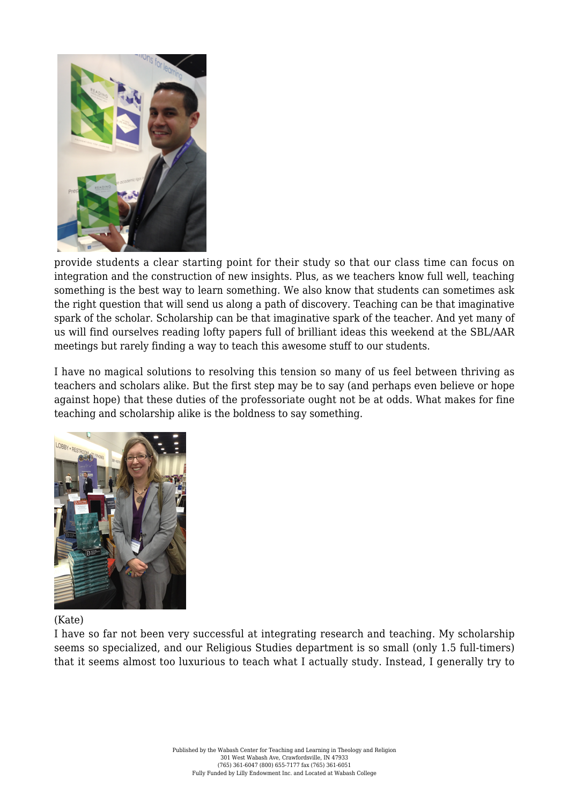

provide students a clear starting point for their study so that our class time can focus on integration and the construction of new insights. Plus, as we teachers know full well, teaching something is the best way to learn something. We also know that students can sometimes ask the right question that will send us along a path of discovery. Teaching can be that imaginative spark of the scholar. Scholarship can be that imaginative spark of the teacher. And yet many of us will find ourselves reading lofty papers full of brilliant ideas this weekend at the SBL/AAR meetings but rarely finding a way to teach this awesome stuff to our students.

I have no magical solutions to resolving this tension so many of us feel between thriving as teachers and scholars alike. But the first step may be to say (and perhaps even believe or hope against hope) that these duties of the professoriate ought not be at odds. What makes for fine teaching and scholarship alike is the boldness to say something.



### (Kate)

I have so far not been very successful at integrating research and teaching. My scholarship seems so specialized, and our Religious Studies department is so small (only 1.5 full-timers) that it seems almost too luxurious to teach what I actually study. Instead, I generally try to